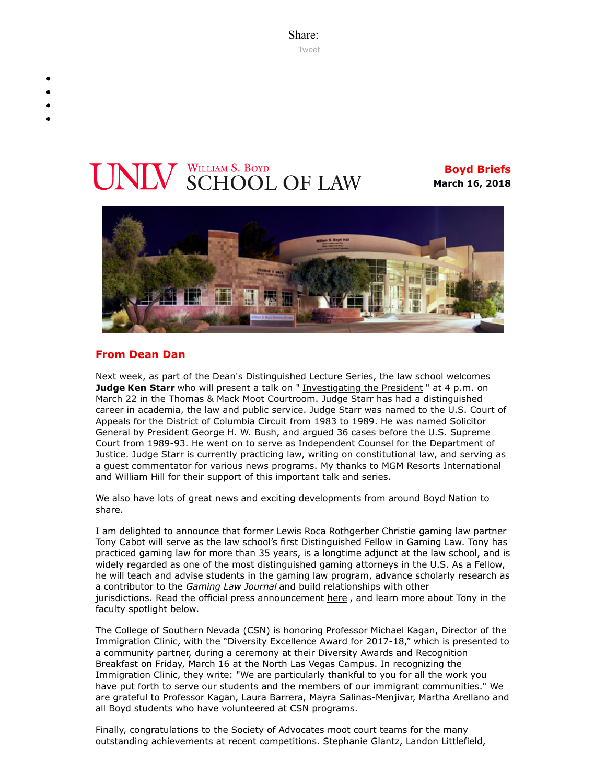Share: [Tweet](https://twitter.com/intent/tweet?ref_src=twsrc%5Etfw&text=Boyd%20Briefs&tw_p=tweetbutton&url=file%3A%2F%2F%2FC%3A%2FUsers%2FElizabeth%2520Manriquez%2FAppData%2FLocal%2FTemp%2FTemp1_boyd-briefs.zip%2Fboyd-briefs%2Femail-BoydBriefs-2018-03-16.html)

# **VLV** SCHOOL OF LAW

**Boyd Briefs March 16, 2018**



# **From Dean Dan**

Next week, as part of the Dean's Distinguished Lecture Series, the law school welcomes **Judge Ken Starr** who will present a talk on " [Investigating the President](https://law.unlv.edu/event/investigating-president-judge-ken-starr) " at 4 p.m. on March 22 in the Thomas & Mack Moot Courtroom. Judge Starr has had a distinguished career in academia, the law and public service. Judge Starr was named to the U.S. Court of Appeals for the District of Columbia Circuit from 1983 to 1989. He was named Solicitor General by President George H. W. Bush, and argued 36 cases before the U.S. Supreme Court from 1989-93. He went on to serve as Independent Counsel for the Department of Justice. Judge Starr is currently practicing law, writing on constitutional law, and serving as a guest commentator for various news programs. My thanks to MGM Resorts International and William Hill for their support of this important talk and series.

We also have lots of great news and exciting developments from around Boyd Nation to share.

I am delighted to announce that former Lewis Roca Rothgerber Christie gaming law partner Tony Cabot will serve as the law school's first Distinguished Fellow in Gaming Law. Tony has practiced gaming law for more than 35 years, is a longtime adjunct at the law school, and is widely regarded as one of the most distinguished gaming attorneys in the U.S. As a Fellow, he will teach and advise students in the gaming law program, advance scholarly research as a contributor to the *Gaming Law Journal* and build relationships with other jurisdictions. Read the official press announcement [here](https://law.unlv.edu/news/press-releases/gaming-law-expert-joins-unlv-william-s-boyd-school-law-distinguished-fellow), and learn more about Tony in the faculty spotlight below.

The College of Southern Nevada (CSN) is honoring Professor Michael Kagan, Director of the Immigration Clinic, with the "Diversity Excellence Award for 2017-18," which is presented to a community partner, during a ceremony at their Diversity Awards and Recognition Breakfast on Friday, March 16 at the North Las Vegas Campus. In recognizing the Immigration Clinic, they write: "We are particularly thankful to you for all the work you have put forth to serve our students and the members of our immigrant communities." We are grateful to Professor Kagan, Laura Barrera, Mayra Salinas-Menjivar, Martha Arellano and all Boyd students who have volunteered at CSN programs.

Finally, congratulations to the Society of Advocates moot court teams for the many outstanding achievements at recent competitions. Stephanie Glantz, Landon Littlefield,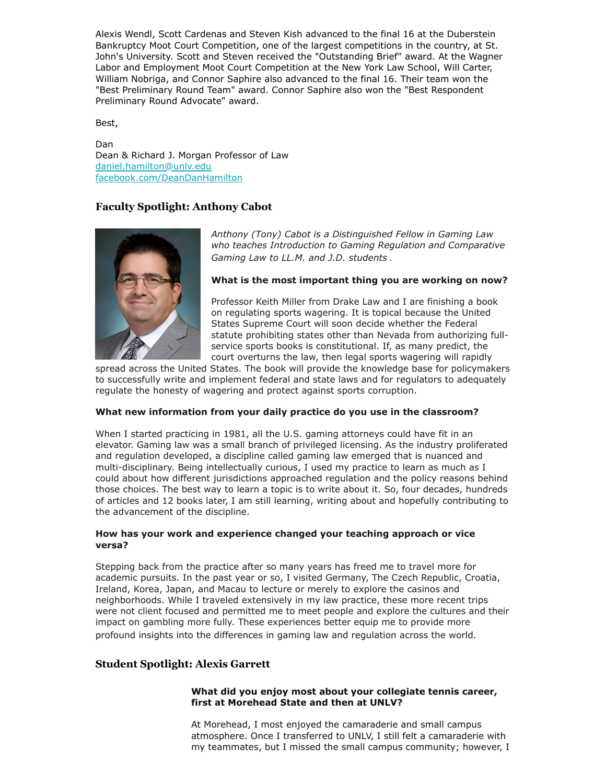Alexis Wendl, Scott Cardenas and Steven Kish advanced to the final 16 at the Duberstein Bankruptcy Moot Court Competition, one of the largest competitions in the country, at St. John's University. Scott and Steven received the "Outstanding Brief" award. At the Wagner Labor and Employment Moot Court Competition at the New York Law School, Will Carter, William Nobriga, and Connor Saphire also advanced to the final 16. Their team won the "Best Preliminary Round Team" award. Connor Saphire also won the "Best Respondent Preliminary Round Advocate" award.

Best,

Dan Dean & Richard J. Morgan Professor of Law [daniel.hamilton@unlv.edu](mailto:daniel.hamilton@unlv.edu) [facebook.com/DeanDanHamilton](https://www.facebook.com/DeanDanHamilton)

# **Faculty Spotlight: Anthony Cabot**



*Anthony (Tony) Cabot is a Distinguished Fellow in Gaming Law who teaches Introduction to Gaming Regulation and Comparative Gaming Law to LL.M. and J.D. students .* 

# **What is the most important thing you are working on now?**

Professor Keith Miller from Drake Law and I are finishing a book on regulating sports wagering. It is topical because the United States Supreme Court will soon decide whether the Federal statute prohibiting states other than Nevada from authorizing fullservice sports books is constitutional. If, as many predict, the court overturns the law, then legal sports wagering will rapidly

spread across the United States. The book will provide the knowledge base for policymakers to successfully write and implement federal and state laws and for regulators to adequately regulate the honesty of wagering and protect against sports corruption.

#### **What new information from your daily practice do you use in the classroom?**

When I started practicing in 1981, all the U.S. gaming attorneys could have fit in an elevator. Gaming law was a small branch of privileged licensing. As the industry proliferated and regulation developed, a discipline called gaming law emerged that is nuanced and multi-disciplinary. Being intellectually curious, I used my practice to learn as much as I could about how different jurisdictions approached regulation and the policy reasons behind those choices. The best way to learn a topic is to write about it. So, four decades, hundreds of articles and 12 books later, I am still learning, writing about and hopefully contributing to the advancement of the discipline.

#### **How has your work and experience changed your teaching approach or vice versa?**

Stepping back from the practice after so many years has freed me to travel more for academic pursuits. In the past year or so, I visited Germany, The Czech Republic, Croatia, Ireland, Korea, Japan, and Macau to lecture or merely to explore the casinos and neighborhoods. While I traveled extensively in my law practice, these more recent trips were not client focused and permitted me to meet people and explore the cultures and their impact on gambling more fully. These experiences better equip me to provide more profound insights into the differences in gaming law and regulation across the world.

# **Student Spotlight: Alexis Garrett**

# **What did you enjoy most about your collegiate tennis career, first at Morehead State and then at UNLV?**

At Morehead, I most enjoyed the camaraderie and small campus atmosphere. Once I transferred to UNLV, I still felt a camaraderie with my teammates, but I missed the small campus community; however, I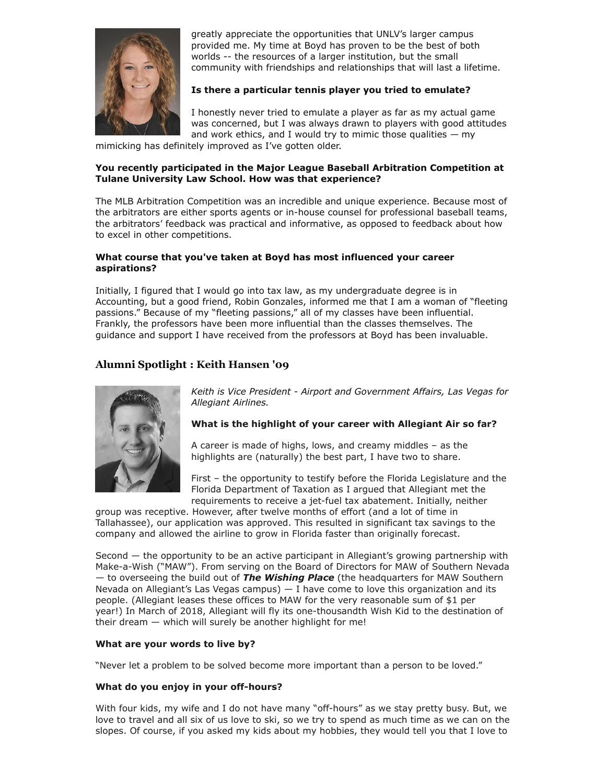

greatly appreciate the opportunities that UNLV's larger campus provided me. My time at Boyd has proven to be the best of both worlds -- the resources of a larger institution, but the small community with friendships and relationships that will last a lifetime.

# **Is there a particular tennis player you tried to emulate?**

I honestly never tried to emulate a player as far as my actual game was concerned, but I was always drawn to players with good attitudes and work ethics, and I would try to mimic those qualities  $-$  my

mimicking has definitely improved as I've gotten older.

# **You recently participated in the Major League Baseball Arbitration Competition at Tulane University Law School. How was that experience?**

The MLB Arbitration Competition was an incredible and unique experience. Because most of the arbitrators are either sports agents or in-house counsel for professional baseball teams, the arbitrators' feedback was practical and informative, as opposed to feedback about how to excel in other competitions.

# **What course that you've taken at Boyd has most influenced your career aspirations?**

Initially, I figured that I would go into tax law, as my undergraduate degree is in Accounting, but a good friend, Robin Gonzales, informed me that I am a woman of "fleeting passions." Because of my "fleeting passions," all of my classes have been influential. Frankly, the professors have been more influential than the classes themselves. The guidance and support I have received from the professors at Boyd has been invaluable.

# **Alumni Spotlight : Keith Hansen '09**



*Keith is Vice President - Airport and Government Affairs, Las Vegas for Allegiant Airlines.*

# **What is the highlight of your career with Allegiant Air so far?**

A career is made of highs, lows, and creamy middles – as the highlights are (naturally) the best part, I have two to share.

First – the opportunity to testify before the Florida Legislature and the Florida Department of Taxation as I argued that Allegiant met the requirements to receive a jet-fuel tax abatement. Initially, neither

group was receptive. However, after twelve months of effort (and a lot of time in Tallahassee), our application was approved. This resulted in significant tax savings to the company and allowed the airline to grow in Florida faster than originally forecast.

Second — the opportunity to be an active participant in Allegiant's growing partnership with Make-a-Wish ("MAW"). From serving on the Board of Directors for MAW of Southern Nevada — to overseeing the build out of *The Wishing Place* (the headquarters for MAW Southern Nevada on Allegiant's Las Vegas campus)  $- I$  have come to love this organization and its people. (Allegiant leases these offices to MAW for the very reasonable sum of \$1 per year!) In March of 2018, Allegiant will fly its one-thousandth Wish Kid to the destination of their dream — which will surely be another highlight for me!

# **What are your words to live by?**

"Never let a problem to be solved become more important than a person to be loved."

# **What do you enjoy in your off-hours?**

With four kids, my wife and I do not have many "off-hours" as we stay pretty busy. But, we love to travel and all six of us love to ski, so we try to spend as much time as we can on the slopes. Of course, if you asked my kids about my hobbies, they would tell you that I love to